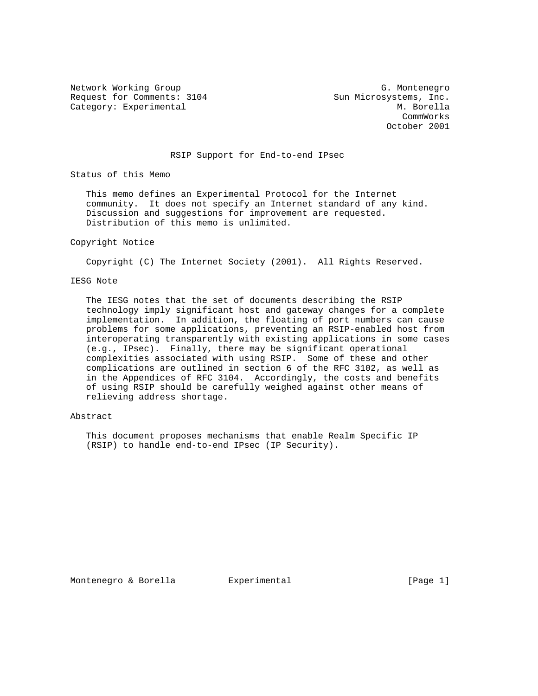Request for Comments: 3104 Sun Microsystems, Inc. Category: Experimental M. Borella

Network Working Group G. Montenegro CommWorks October 2001

### RSIP Support for End-to-end IPsec

Status of this Memo

 This memo defines an Experimental Protocol for the Internet community. It does not specify an Internet standard of any kind. Discussion and suggestions for improvement are requested. Distribution of this memo is unlimited.

#### Copyright Notice

Copyright (C) The Internet Society (2001). All Rights Reserved.

## IESG Note

 The IESG notes that the set of documents describing the RSIP technology imply significant host and gateway changes for a complete implementation. In addition, the floating of port numbers can cause problems for some applications, preventing an RSIP-enabled host from interoperating transparently with existing applications in some cases (e.g., IPsec). Finally, there may be significant operational complexities associated with using RSIP. Some of these and other complications are outlined in section 6 of the RFC 3102, as well as in the Appendices of RFC 3104. Accordingly, the costs and benefits of using RSIP should be carefully weighed against other means of relieving address shortage.

## Abstract

 This document proposes mechanisms that enable Realm Specific IP (RSIP) to handle end-to-end IPsec (IP Security).

Montenegro & Borella Experimental [Page 1]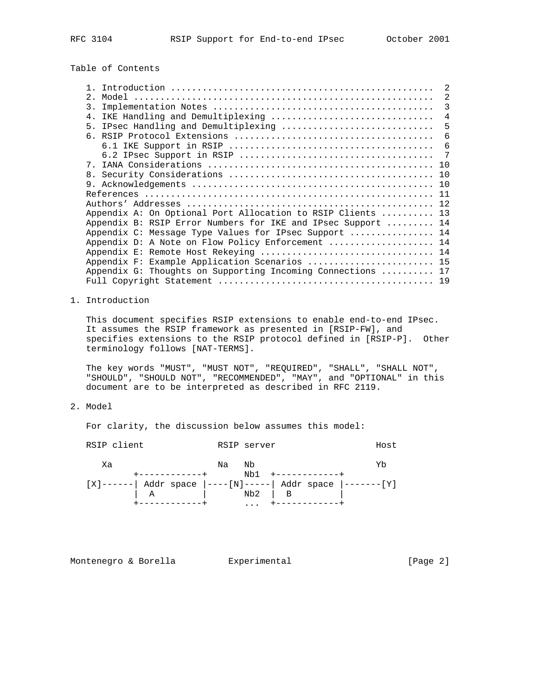Table of Contents

|                                                              | $\mathfrak{D}$ |
|--------------------------------------------------------------|----------------|
| $2$ .                                                        | 2              |
| 3.                                                           | 3              |
| IKE Handling and Demultiplexing<br>4.                        | 4              |
| IPsec Handling and Demultiplexing<br>5 <sub>1</sub>          | 5              |
|                                                              | 6              |
|                                                              | 6              |
|                                                              | 7              |
| $7^{\circ}$                                                  |                |
|                                                              |                |
|                                                              |                |
|                                                              |                |
|                                                              |                |
| Appendix A: On Optional Port Allocation to RSIP Clients  13  |                |
| Appendix B: RSIP Error Numbers for IKE and IPsec Support  14 |                |
| Appendix C: Message Type Values for IPsec Support  14        |                |
| Appendix D: A Note on Flow Policy Enforcement  14            |                |
|                                                              |                |
| Appendix F: Example Application Scenarios  15                |                |
| Appendix G: Thoughts on Supporting Incoming Connections  17  |                |
|                                                              |                |
|                                                              |                |

## 1. Introduction

 This document specifies RSIP extensions to enable end-to-end IPsec. It assumes the RSIP framework as presented in [RSIP-FW], and specifies extensions to the RSIP protocol defined in [RSIP-P]. Other terminology follows [NAT-TERMS].

 The key words "MUST", "MUST NOT", "REQUIRED", "SHALL", "SHALL NOT", "SHOULD", "SHOULD NOT", "RECOMMENDED", "MAY", and "OPTIONAL" in this document are to be interpreted as described in RFC 2119.

## 2. Model

For clarity, the discussion below assumes this model:

RSIP client **RSIP** server **Host**  Xa Na Nb Yb +------------+ Nb1 +------------+ [X]------| Addr space |----[N]-----| Addr space |-------[Y] | A | Nb2 | B | +------------+ ... +------------+

Montenegro & Borella **Experimental** Experimental [Page 2]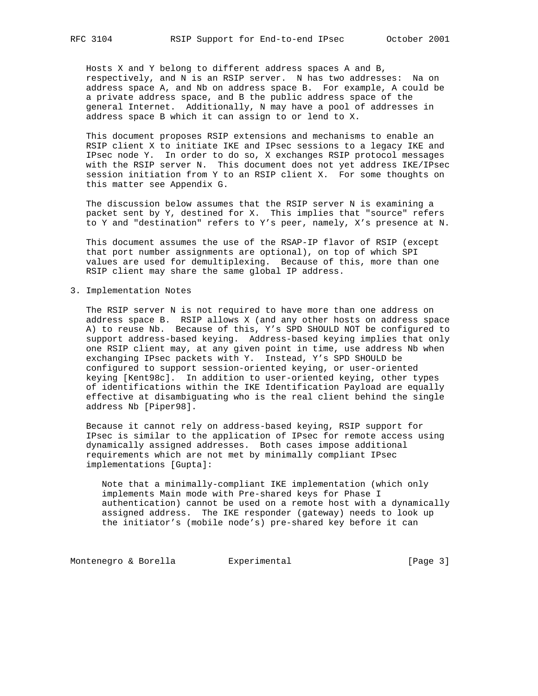Hosts X and Y belong to different address spaces A and B, respectively, and N is an RSIP server. N has two addresses: Na on address space A, and Nb on address space B. For example, A could be a private address space, and B the public address space of the general Internet. Additionally, N may have a pool of addresses in address space B which it can assign to or lend to X.

 This document proposes RSIP extensions and mechanisms to enable an RSIP client X to initiate IKE and IPsec sessions to a legacy IKE and IPsec node Y. In order to do so, X exchanges RSIP protocol messages with the RSIP server N. This document does not yet address IKE/IPsec session initiation from Y to an RSIP client X. For some thoughts on this matter see Appendix G.

 The discussion below assumes that the RSIP server N is examining a packet sent by Y, destined for X. This implies that "source" refers to Y and "destination" refers to Y's peer, namely, X's presence at N.

 This document assumes the use of the RSAP-IP flavor of RSIP (except that port number assignments are optional), on top of which SPI values are used for demultiplexing. Because of this, more than one RSIP client may share the same global IP address.

3. Implementation Notes

 The RSIP server N is not required to have more than one address on address space B. RSIP allows X (and any other hosts on address space A) to reuse Nb. Because of this, Y's SPD SHOULD NOT be configured to support address-based keying. Address-based keying implies that only one RSIP client may, at any given point in time, use address Nb when exchanging IPsec packets with Y. Instead, Y's SPD SHOULD be configured to support session-oriented keying, or user-oriented keying [Kent98c]. In addition to user-oriented keying, other types of identifications within the IKE Identification Payload are equally effective at disambiguating who is the real client behind the single address Nb [Piper98].

 Because it cannot rely on address-based keying, RSIP support for IPsec is similar to the application of IPsec for remote access using dynamically assigned addresses. Both cases impose additional requirements which are not met by minimally compliant IPsec implementations [Gupta]:

 Note that a minimally-compliant IKE implementation (which only implements Main mode with Pre-shared keys for Phase I authentication) cannot be used on a remote host with a dynamically assigned address. The IKE responder (gateway) needs to look up the initiator's (mobile node's) pre-shared key before it can

Montenegro & Borella **Experimental** Experimental [Page 3]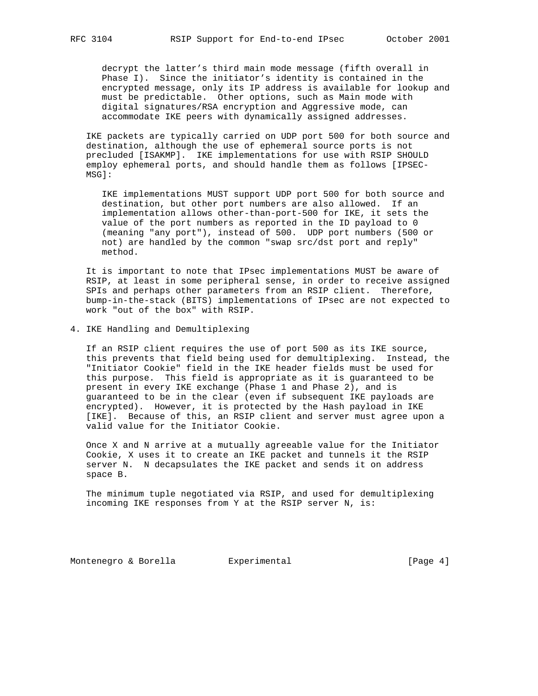decrypt the latter's third main mode message (fifth overall in Phase I). Since the initiator's identity is contained in the encrypted message, only its IP address is available for lookup and must be predictable. Other options, such as Main mode with digital signatures/RSA encryption and Aggressive mode, can accommodate IKE peers with dynamically assigned addresses.

 IKE packets are typically carried on UDP port 500 for both source and destination, although the use of ephemeral source ports is not precluded [ISAKMP]. IKE implementations for use with RSIP SHOULD employ ephemeral ports, and should handle them as follows [IPSEC- MSG]:

 IKE implementations MUST support UDP port 500 for both source and destination, but other port numbers are also allowed. If an implementation allows other-than-port-500 for IKE, it sets the value of the port numbers as reported in the ID payload to 0 (meaning "any port"), instead of 500. UDP port numbers (500 or not) are handled by the common "swap src/dst port and reply" method.

 It is important to note that IPsec implementations MUST be aware of RSIP, at least in some peripheral sense, in order to receive assigned SPIs and perhaps other parameters from an RSIP client. Therefore, bump-in-the-stack (BITS) implementations of IPsec are not expected to work "out of the box" with RSIP.

### 4. IKE Handling and Demultiplexing

 If an RSIP client requires the use of port 500 as its IKE source, this prevents that field being used for demultiplexing. Instead, the "Initiator Cookie" field in the IKE header fields must be used for this purpose. This field is appropriate as it is guaranteed to be present in every IKE exchange (Phase 1 and Phase 2), and is guaranteed to be in the clear (even if subsequent IKE payloads are encrypted). However, it is protected by the Hash payload in IKE [IKE]. Because of this, an RSIP client and server must agree upon a valid value for the Initiator Cookie.

 Once X and N arrive at a mutually agreeable value for the Initiator Cookie, X uses it to create an IKE packet and tunnels it the RSIP server N. N decapsulates the IKE packet and sends it on address space B.

 The minimum tuple negotiated via RSIP, and used for demultiplexing incoming IKE responses from Y at the RSIP server N, is:

Montenegro & Borella Experimental Formula (Page 4)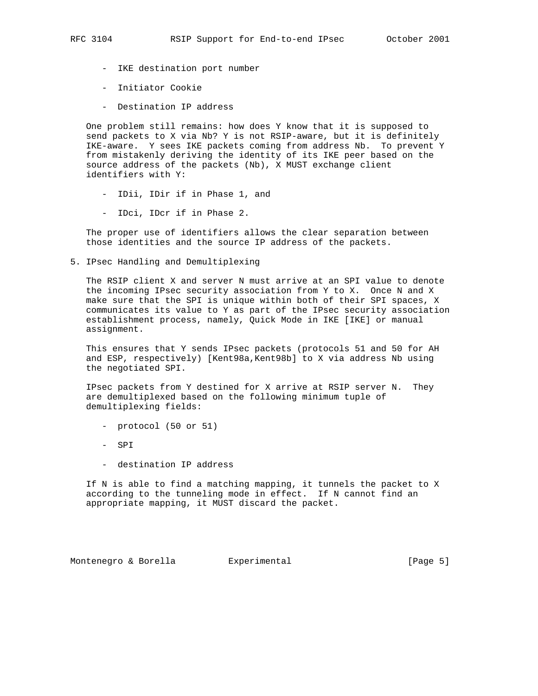- IKE destination port number
- Initiator Cookie
- Destination IP address

 One problem still remains: how does Y know that it is supposed to send packets to X via Nb? Y is not RSIP-aware, but it is definitely IKE-aware. Y sees IKE packets coming from address Nb. To prevent Y from mistakenly deriving the identity of its IKE peer based on the source address of the packets (Nb), X MUST exchange client identifiers with Y:

- IDii, IDir if in Phase 1, and
- IDci, IDcr if in Phase 2.

 The proper use of identifiers allows the clear separation between those identities and the source IP address of the packets.

5. IPsec Handling and Demultiplexing

 The RSIP client X and server N must arrive at an SPI value to denote the incoming IPsec security association from Y to X. Once N and X make sure that the SPI is unique within both of their SPI spaces, X communicates its value to Y as part of the IPsec security association establishment process, namely, Quick Mode in IKE [IKE] or manual assignment.

 This ensures that Y sends IPsec packets (protocols 51 and 50 for AH and ESP, respectively) [Kent98a, Kent98b] to X via address Nb using the negotiated SPI.

 IPsec packets from Y destined for X arrive at RSIP server N. They are demultiplexed based on the following minimum tuple of demultiplexing fields:

- protocol (50 or 51)
- SPI
- destination IP address

 If N is able to find a matching mapping, it tunnels the packet to X according to the tunneling mode in effect. If N cannot find an appropriate mapping, it MUST discard the packet.

Montenegro & Borella Experimental [Page 5]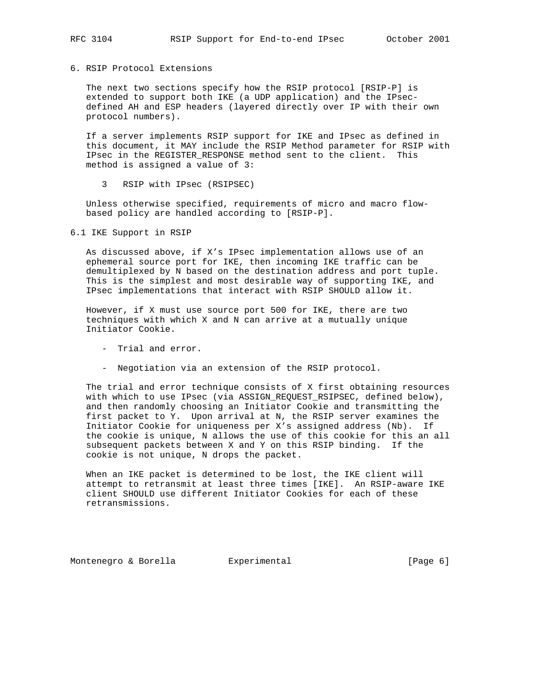### 6. RSIP Protocol Extensions

 The next two sections specify how the RSIP protocol [RSIP-P] is extended to support both IKE (a UDP application) and the IPsec defined AH and ESP headers (layered directly over IP with their own protocol numbers).

 If a server implements RSIP support for IKE and IPsec as defined in this document, it MAY include the RSIP Method parameter for RSIP with IPsec in the REGISTER RESPONSE method sent to the client. This method is assigned a value of 3:

3 RSIP with IPsec (RSIPSEC)

 Unless otherwise specified, requirements of micro and macro flow based policy are handled according to [RSIP-P].

6.1 IKE Support in RSIP

 As discussed above, if X's IPsec implementation allows use of an ephemeral source port for IKE, then incoming IKE traffic can be demultiplexed by N based on the destination address and port tuple. This is the simplest and most desirable way of supporting IKE, and IPsec implementations that interact with RSIP SHOULD allow it.

 However, if X must use source port 500 for IKE, there are two techniques with which X and N can arrive at a mutually unique Initiator Cookie.

- Trial and error.
- Negotiation via an extension of the RSIP protocol.

 The trial and error technique consists of X first obtaining resources with which to use IPsec (via ASSIGN\_REQUEST\_RSIPSEC, defined below), and then randomly choosing an Initiator Cookie and transmitting the first packet to Y. Upon arrival at N, the RSIP server examines the Initiator Cookie for uniqueness per X's assigned address (Nb). If the cookie is unique, N allows the use of this cookie for this an all subsequent packets between X and Y on this RSIP binding. If the cookie is not unique, N drops the packet.

 When an IKE packet is determined to be lost, the IKE client will attempt to retransmit at least three times [IKE]. An RSIP-aware IKE client SHOULD use different Initiator Cookies for each of these retransmissions.

Montenegro & Borella Experimental [Page 6]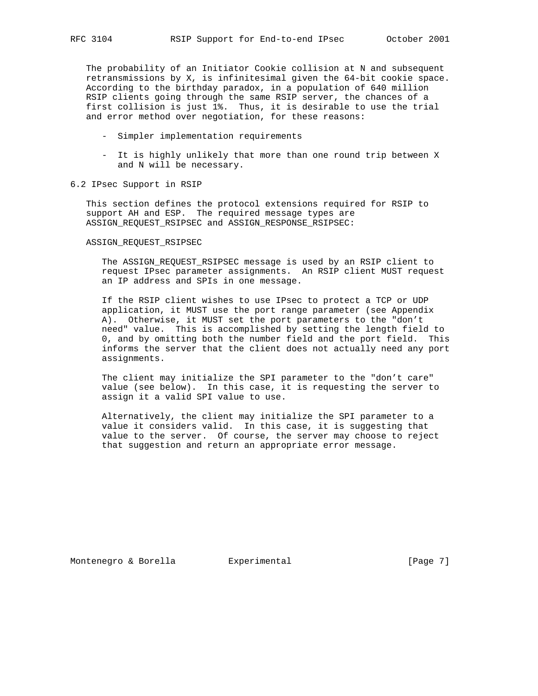The probability of an Initiator Cookie collision at N and subsequent retransmissions by X, is infinitesimal given the 64-bit cookie space. According to the birthday paradox, in a population of 640 million RSIP clients going through the same RSIP server, the chances of a first collision is just 1%. Thus, it is desirable to use the trial and error method over negotiation, for these reasons:

- Simpler implementation requirements
- It is highly unlikely that more than one round trip between X and N will be necessary.
- 6.2 IPsec Support in RSIP

 This section defines the protocol extensions required for RSIP to support AH and ESP. The required message types are ASSIGN\_REQUEST\_RSIPSEC and ASSIGN\_RESPONSE\_RSIPSEC:

### ASSIGN\_REQUEST\_RSIPSEC

 The ASSIGN\_REQUEST\_RSIPSEC message is used by an RSIP client to request IPsec parameter assignments. An RSIP client MUST request an IP address and SPIs in one message.

 If the RSIP client wishes to use IPsec to protect a TCP or UDP application, it MUST use the port range parameter (see Appendix A). Otherwise, it MUST set the port parameters to the "don't need" value. This is accomplished by setting the length field to 0, and by omitting both the number field and the port field. This informs the server that the client does not actually need any port assignments.

 The client may initialize the SPI parameter to the "don't care" value (see below). In this case, it is requesting the server to assign it a valid SPI value to use.

 Alternatively, the client may initialize the SPI parameter to a value it considers valid. In this case, it is suggesting that value to the server. Of course, the server may choose to reject that suggestion and return an appropriate error message.

Montenegro & Borella Experimental [Page 7]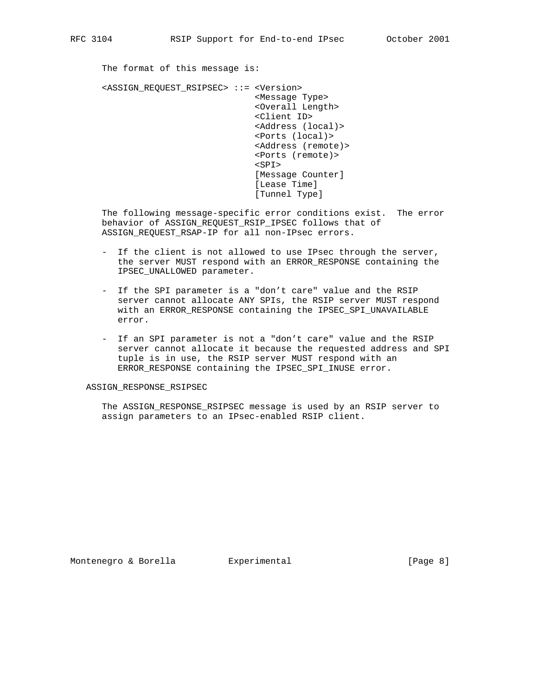The format of this message is: <ASSIGN\_REQUEST\_RSIPSEC> ::= <Version> <Message Type>

 <Overall Length> <Client ID> <Address (local)> <Ports (local)> <Address (remote)> <Ports (remote)>  $<$ SPI $>$  [Message Counter] [Lease Time] [Tunnel Type]

 The following message-specific error conditions exist. The error behavior of ASSIGN\_REQUEST\_RSIP\_IPSEC follows that of ASSIGN\_REQUEST\_RSAP-IP for all non-IPsec errors.

- If the client is not allowed to use IPsec through the server, the server MUST respond with an ERROR\_RESPONSE containing the IPSEC\_UNALLOWED parameter.
- If the SPI parameter is a "don't care" value and the RSIP server cannot allocate ANY SPIs, the RSIP server MUST respond with an ERROR\_RESPONSE containing the IPSEC\_SPI\_UNAVAILABLE error.
- If an SPI parameter is not a "don't care" value and the RSIP server cannot allocate it because the requested address and SPI tuple is in use, the RSIP server MUST respond with an ERROR\_RESPONSE containing the IPSEC\_SPI\_INUSE error.

#### ASSIGN\_RESPONSE\_RSIPSEC

 The ASSIGN\_RESPONSE\_RSIPSEC message is used by an RSIP server to assign parameters to an IPsec-enabled RSIP client.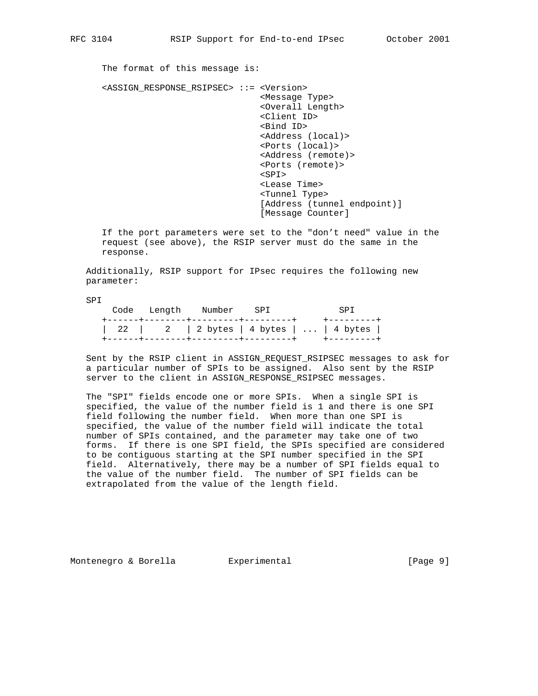The format of this message is:

 <ASSIGN\_RESPONSE\_RSIPSEC> ::= <Version> <Message Type> <Overall Length> <Client ID> <Bind ID> <Address (local)> <Ports (local)> <Address (remote)> <Ports (remote)>  $<$ SPI $>$  <Lease Time> <Tunnel Type> [Address (tunnel endpoint)] [Message Counter]

 If the port parameters were set to the "don't need" value in the request (see above), the RSIP server must do the same in the response.

 Additionally, RSIP support for IPsec requires the following new parameter:

SPI

|  | Code Length Number SPI | <b>SPT</b>                              |  |
|--|------------------------|-----------------------------------------|--|
|  |                        | 22   2   2 bytes   4 bytes      4 bytes |  |

 Sent by the RSIP client in ASSIGN\_REQUEST\_RSIPSEC messages to ask for a particular number of SPIs to be assigned. Also sent by the RSIP server to the client in ASSIGN\_RESPONSE\_RSIPSEC messages.

 The "SPI" fields encode one or more SPIs. When a single SPI is specified, the value of the number field is 1 and there is one SPI field following the number field. When more than one SPI is specified, the value of the number field will indicate the total number of SPIs contained, and the parameter may take one of two forms. If there is one SPI field, the SPIs specified are considered to be contiguous starting at the SPI number specified in the SPI field. Alternatively, there may be a number of SPI fields equal to the value of the number field. The number of SPI fields can be extrapolated from the value of the length field.

Montenegro & Borella Experimental [Page 9]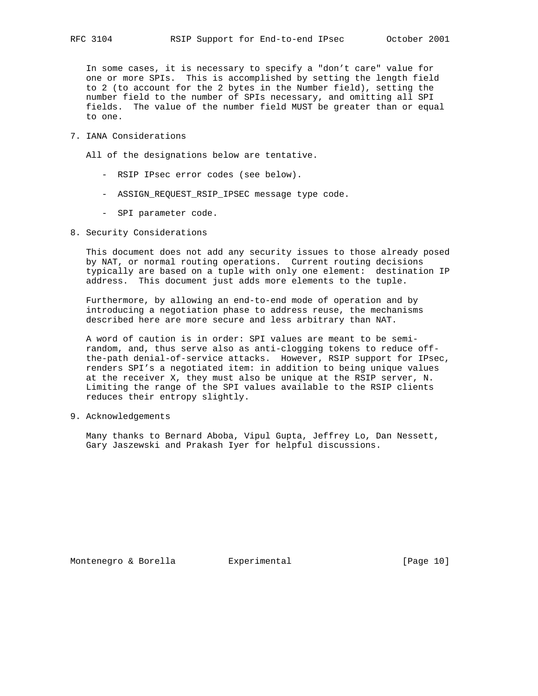In some cases, it is necessary to specify a "don't care" value for one or more SPIs. This is accomplished by setting the length field to 2 (to account for the 2 bytes in the Number field), setting the number field to the number of SPIs necessary, and omitting all SPI fields. The value of the number field MUST be greater than or equal to one.

7. IANA Considerations

All of the designations below are tentative.

- RSIP IPsec error codes (see below).
- ASSIGN\_REQUEST\_RSIP\_IPSEC message type code.
- SPI parameter code.
- 8. Security Considerations

 This document does not add any security issues to those already posed by NAT, or normal routing operations. Current routing decisions typically are based on a tuple with only one element: destination IP address. This document just adds more elements to the tuple.

 Furthermore, by allowing an end-to-end mode of operation and by introducing a negotiation phase to address reuse, the mechanisms described here are more secure and less arbitrary than NAT.

 A word of caution is in order: SPI values are meant to be semi random, and, thus serve also as anti-clogging tokens to reduce off the-path denial-of-service attacks. However, RSIP support for IPsec, renders SPI's a negotiated item: in addition to being unique values at the receiver X, they must also be unique at the RSIP server, N. Limiting the range of the SPI values available to the RSIP clients reduces their entropy slightly.

9. Acknowledgements

 Many thanks to Bernard Aboba, Vipul Gupta, Jeffrey Lo, Dan Nessett, Gary Jaszewski and Prakash Iyer for helpful discussions.

Montenegro & Borella Experimental [Page 10]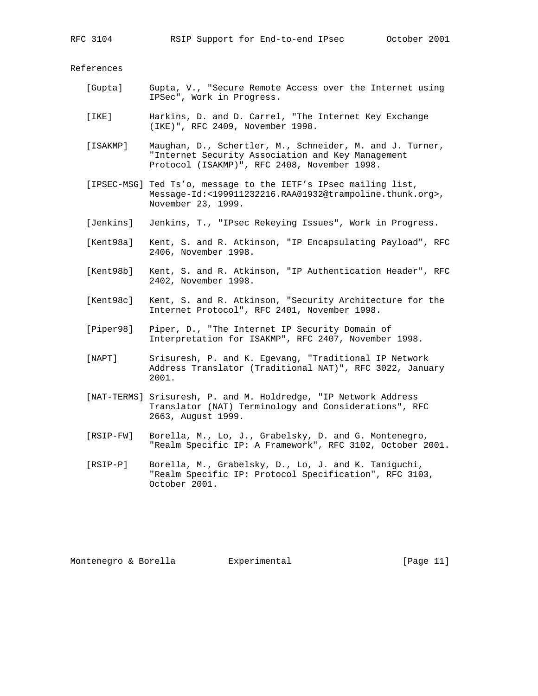References

- [Gupta] Gupta, V., "Secure Remote Access over the Internet using IPSec", Work in Progress.
- [IKE] Harkins, D. and D. Carrel, "The Internet Key Exchange (IKE)", RFC 2409, November 1998.
- [ISAKMP] Maughan, D., Schertler, M., Schneider, M. and J. Turner, "Internet Security Association and Key Management Protocol (ISAKMP)", RFC 2408, November 1998.
- [IPSEC-MSG] Ted Ts'o, message to the IETF's IPsec mailing list, Message-Id:<199911232216.RAA01932@trampoline.thunk.org>, November 23, 1999.
- [Jenkins] Jenkins, T., "IPsec Rekeying Issues", Work in Progress.
- [Kent98a] Kent, S. and R. Atkinson, "IP Encapsulating Payload", RFC 2406, November 1998.
- [Kent98b] Kent, S. and R. Atkinson, "IP Authentication Header", RFC 2402, November 1998.
- [Kent98c] Kent, S. and R. Atkinson, "Security Architecture for the Internet Protocol", RFC 2401, November 1998.
- [Piper98] Piper, D., "The Internet IP Security Domain of Interpretation for ISAKMP", RFC 2407, November 1998.
- [NAPT] Srisuresh, P. and K. Egevang, "Traditional IP Network Address Translator (Traditional NAT)", RFC 3022, January 2001.
- [NAT-TERMS] Srisuresh, P. and M. Holdredge, "IP Network Address Translator (NAT) Terminology and Considerations", RFC 2663, August 1999.
- [RSIP-FW] Borella, M., Lo, J., Grabelsky, D. and G. Montenegro, "Realm Specific IP: A Framework", RFC 3102, October 2001.
- [RSIP-P] Borella, M., Grabelsky, D., Lo, J. and K. Taniguchi, "Realm Specific IP: Protocol Specification", RFC 3103, October 2001.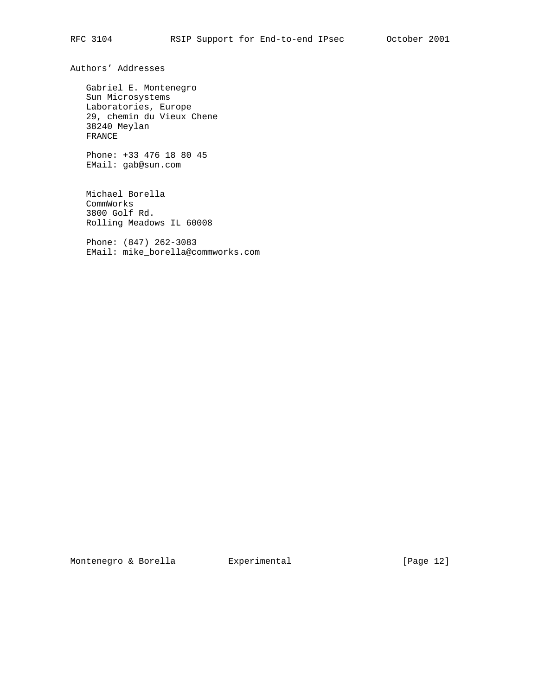Authors' Addresses

 Gabriel E. Montenegro Sun Microsystems Laboratories, Europe 29, chemin du Vieux Chene 38240 Meylan FRANCE

 Phone: +33 476 18 80 45 EMail: gab@sun.com

 Michael Borella CommWorks 3800 Golf Rd. Rolling Meadows IL 60008

 Phone: (847) 262-3083 EMail: mike\_borella@commworks.com

Montenegro & Borella Experimental [Page 12]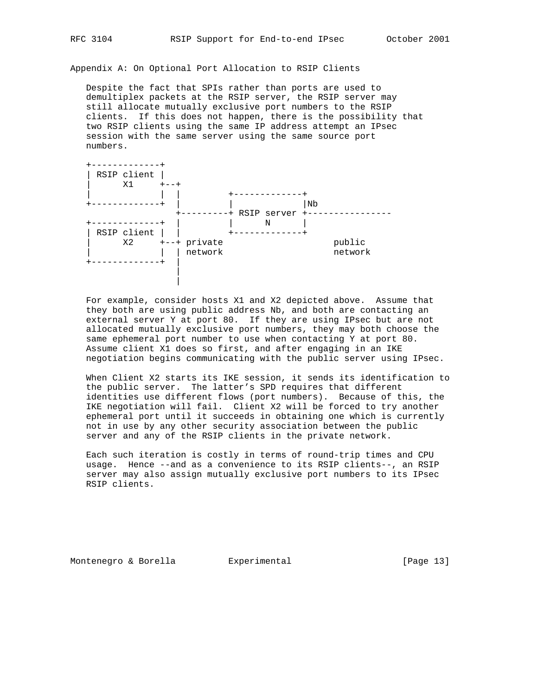Appendix A: On Optional Port Allocation to RSIP Clients

 Despite the fact that SPIs rather than ports are used to demultiplex packets at the RSIP server, the RSIP server may still allocate mutually exclusive port numbers to the RSIP clients. If this does not happen, there is the possibility that two RSIP clients using the same IP address attempt an IPsec session with the same server using the same source port numbers.



 For example, consider hosts X1 and X2 depicted above. Assume that they both are using public address Nb, and both are contacting an external server Y at port 80. If they are using IPsec but are not allocated mutually exclusive port numbers, they may both choose the same ephemeral port number to use when contacting Y at port 80. Assume client X1 does so first, and after engaging in an IKE negotiation begins communicating with the public server using IPsec.

 When Client X2 starts its IKE session, it sends its identification to the public server. The latter's SPD requires that different identities use different flows (port numbers). Because of this, the IKE negotiation will fail. Client X2 will be forced to try another ephemeral port until it succeeds in obtaining one which is currently not in use by any other security association between the public server and any of the RSIP clients in the private network.

 Each such iteration is costly in terms of round-trip times and CPU usage. Hence --and as a convenience to its RSIP clients--, an RSIP server may also assign mutually exclusive port numbers to its IPsec RSIP clients.

Montenegro & Borella **Experimental** [Page 13]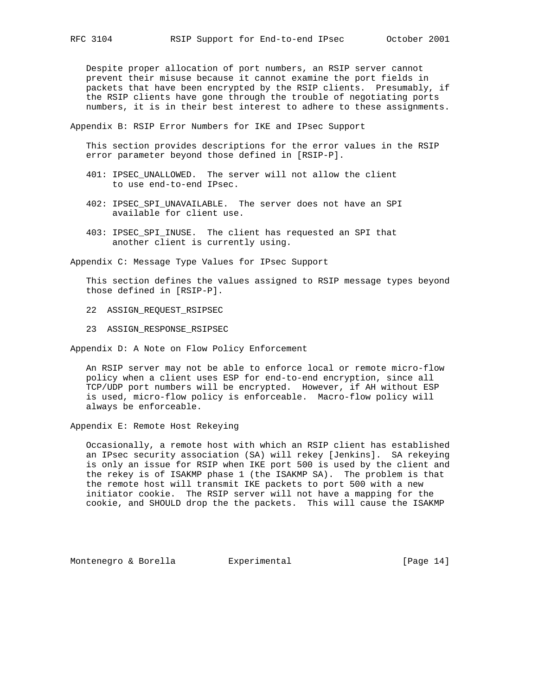Despite proper allocation of port numbers, an RSIP server cannot prevent their misuse because it cannot examine the port fields in

 packets that have been encrypted by the RSIP clients. Presumably, if the RSIP clients have gone through the trouble of negotiating ports numbers, it is in their best interest to adhere to these assignments.

Appendix B: RSIP Error Numbers for IKE and IPsec Support

 This section provides descriptions for the error values in the RSIP error parameter beyond those defined in [RSIP-P].

- 401: IPSEC\_UNALLOWED. The server will not allow the client to use end-to-end IPsec.
- 402: IPSEC\_SPI\_UNAVAILABLE. The server does not have an SPI available for client use.
- 403: IPSEC\_SPI\_INUSE. The client has requested an SPI that another client is currently using.

Appendix C: Message Type Values for IPsec Support

 This section defines the values assigned to RSIP message types beyond those defined in [RSIP-P].

- 22 ASSIGN\_REQUEST\_RSIPSEC
- 23 ASSIGN\_RESPONSE\_RSIPSEC

Appendix D: A Note on Flow Policy Enforcement

 An RSIP server may not be able to enforce local or remote micro-flow policy when a client uses ESP for end-to-end encryption, since all TCP/UDP port numbers will be encrypted. However, if AH without ESP is used, micro-flow policy is enforceable. Macro-flow policy will always be enforceable.

Appendix E: Remote Host Rekeying

 Occasionally, a remote host with which an RSIP client has established an IPsec security association (SA) will rekey [Jenkins]. SA rekeying is only an issue for RSIP when IKE port 500 is used by the client and the rekey is of ISAKMP phase 1 (the ISAKMP SA). The problem is that the remote host will transmit IKE packets to port 500 with a new initiator cookie. The RSIP server will not have a mapping for the cookie, and SHOULD drop the the packets. This will cause the ISAKMP

Montenegro & Borella Experimental [Page 14]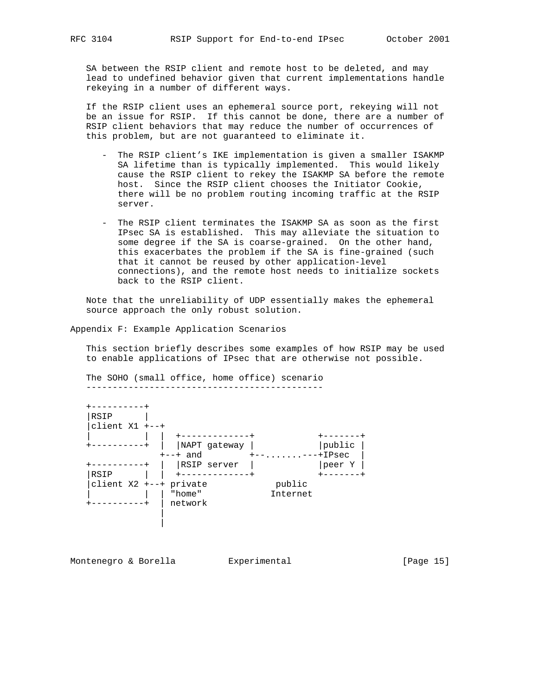SA between the RSIP client and remote host to be deleted, and may lead to undefined behavior given that current implementations handle rekeying in a number of different ways.

 If the RSIP client uses an ephemeral source port, rekeying will not be an issue for RSIP. If this cannot be done, there are a number of RSIP client behaviors that may reduce the number of occurrences of this problem, but are not guaranteed to eliminate it.

- The RSIP client's IKE implementation is given a smaller ISAKMP SA lifetime than is typically implemented. This would likely cause the RSIP client to rekey the ISAKMP SA before the remote host. Since the RSIP client chooses the Initiator Cookie, there will be no problem routing incoming traffic at the RSIP server.
- The RSIP client terminates the ISAKMP SA as soon as the first IPsec SA is established. This may alleviate the situation to some degree if the SA is coarse-grained. On the other hand, this exacerbates the problem if the SA is fine-grained (such that it cannot be reused by other application-level connections), and the remote host needs to initialize sockets back to the RSIP client.

 Note that the unreliability of UDP essentially makes the ephemeral source approach the only robust solution.

Appendix F: Example Application Scenarios

 This section briefly describes some examples of how RSIP may be used to enable applications of IPsec that are otherwise not possible.

 The SOHO (small office, home office) scenario ---------------------------------------------

| RSIP                   |              |             |        |
|------------------------|--------------|-------------|--------|
| client $X1$ +--+       |              |             |        |
|                        |              |             |        |
|                        | NAPT gateway |             | public |
|                        | $+--+$ and   | -----+IPsec |        |
|                        | RSIP server  |             | peer Y |
| RSIP                   |              |             |        |
| client X2 +--+ private |              | public      |        |
|                        | "home"       | Internet    |        |
|                        | network      |             |        |
|                        |              |             |        |

Montenegro & Borella Experimental [Page 15]

|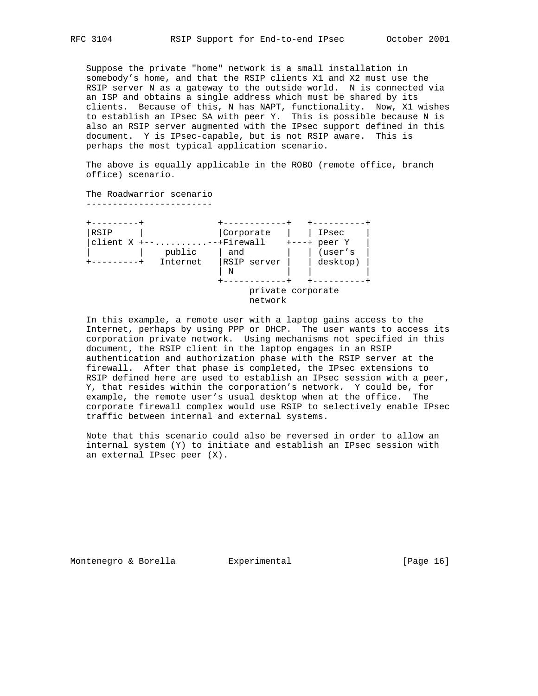Suppose the private "home" network is a small installation in somebody's home, and that the RSIP clients X1 and X2 must use the RSIP server N as a gateway to the outside world. N is connected via an ISP and obtains a single address which must be shared by its clients. Because of this, N has NAPT, functionality. Now, X1 wishes to establish an IPsec SA with peer Y. This is possible because N is also an RSIP server augmented with the IPsec support defined in this document. Y is IPsec-capable, but is not RSIP aware. This is perhaps the most typical application scenario.

 The above is equally applicable in the ROBO (remote office, branch office) scenario.

 The Roadwarrior scenario ------------------------

| RSIP                      |          | Corporate         | IPsec          |
|---------------------------|----------|-------------------|----------------|
| client $X$ +----+Firewall |          |                   | $+---+$ peer Y |
|                           | public   | and               | (user's        |
|                           | Internet | RSIP server       | desktop)       |
|                           |          | N                 |                |
|                           |          |                   |                |
|                           |          | private corporate |                |
|                           |          | network           |                |

 In this example, a remote user with a laptop gains access to the Internet, perhaps by using PPP or DHCP. The user wants to access its corporation private network. Using mechanisms not specified in this document, the RSIP client in the laptop engages in an RSIP authentication and authorization phase with the RSIP server at the firewall. After that phase is completed, the IPsec extensions to RSIP defined here are used to establish an IPsec session with a peer, Y, that resides within the corporation's network. Y could be, for example, the remote user's usual desktop when at the office. The corporate firewall complex would use RSIP to selectively enable IPsec traffic between internal and external systems.

 Note that this scenario could also be reversed in order to allow an internal system (Y) to initiate and establish an IPsec session with an external IPsec peer (X).

Montenegro & Borella **Experimental** [Page 16]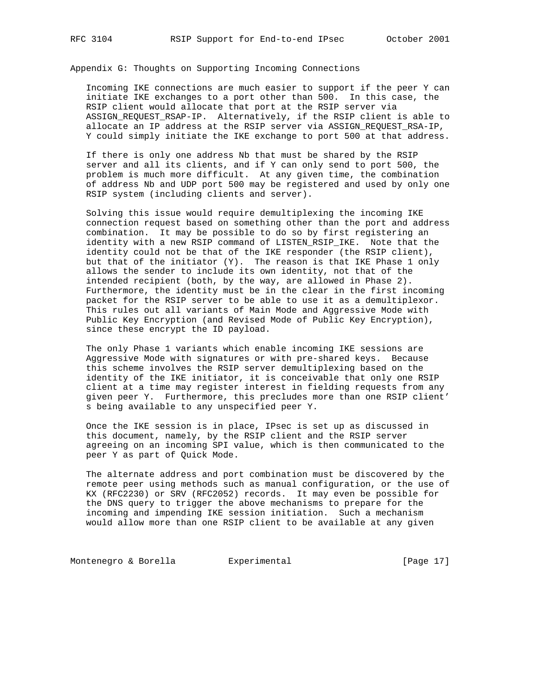Appendix G: Thoughts on Supporting Incoming Connections

 Incoming IKE connections are much easier to support if the peer Y can initiate IKE exchanges to a port other than 500. In this case, the RSIP client would allocate that port at the RSIP server via ASSIGN\_REQUEST\_RSAP-IP. Alternatively, if the RSIP client is able to allocate an IP address at the RSIP server via ASSIGN\_REQUEST\_RSA-IP, Y could simply initiate the IKE exchange to port 500 at that address.

 If there is only one address Nb that must be shared by the RSIP server and all its clients, and if Y can only send to port 500, the problem is much more difficult. At any given time, the combination of address Nb and UDP port 500 may be registered and used by only one RSIP system (including clients and server).

 Solving this issue would require demultiplexing the incoming IKE connection request based on something other than the port and address combination. It may be possible to do so by first registering an identity with a new RSIP command of LISTEN\_RSIP\_IKE. Note that the identity could not be that of the IKE responder (the RSIP client), but that of the initiator  $(Y)$ . The reason is that IKE Phase 1 only allows the sender to include its own identity, not that of the intended recipient (both, by the way, are allowed in Phase 2). Furthermore, the identity must be in the clear in the first incoming packet for the RSIP server to be able to use it as a demultiplexor. This rules out all variants of Main Mode and Aggressive Mode with Public Key Encryption (and Revised Mode of Public Key Encryption), since these encrypt the ID payload.

 The only Phase 1 variants which enable incoming IKE sessions are Aggressive Mode with signatures or with pre-shared keys. Because this scheme involves the RSIP server demultiplexing based on the identity of the IKE initiator, it is conceivable that only one RSIP client at a time may register interest in fielding requests from any given peer Y. Furthermore, this precludes more than one RSIP client' s being available to any unspecified peer Y.

 Once the IKE session is in place, IPsec is set up as discussed in this document, namely, by the RSIP client and the RSIP server agreeing on an incoming SPI value, which is then communicated to the peer Y as part of Quick Mode.

 The alternate address and port combination must be discovered by the remote peer using methods such as manual configuration, or the use of KX (RFC2230) or SRV (RFC2052) records. It may even be possible for the DNS query to trigger the above mechanisms to prepare for the incoming and impending IKE session initiation. Such a mechanism would allow more than one RSIP client to be available at any given

Montenegro & Borella experimental intervals and the set of Page 17]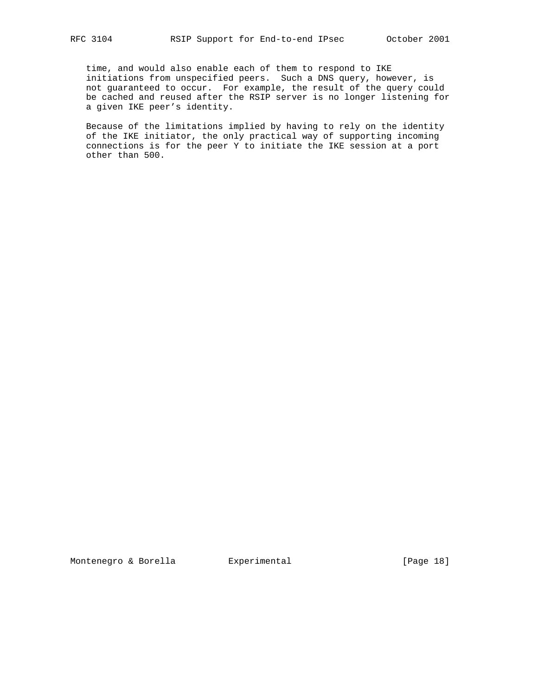time, and would also enable each of them to respond to IKE initiations from unspecified peers. Such a DNS query, however, is not guaranteed to occur. For example, the result of the query could be cached and reused after the RSIP server is no longer listening for a given IKE peer's identity.

 Because of the limitations implied by having to rely on the identity of the IKE initiator, the only practical way of supporting incoming connections is for the peer Y to initiate the IKE session at a port other than 500.